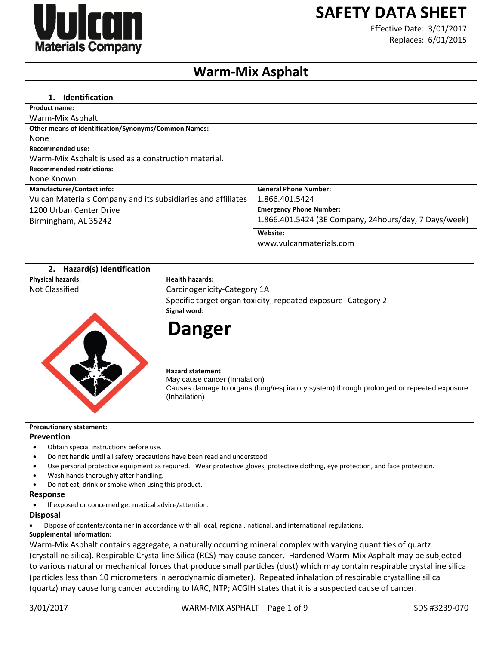

# **SAFETY DATA SHEET**

Effective Date: 3/01/2017 Replaces: 6/01/2015

## **Warm-Mix Asphalt**

| <b>Identification</b><br>$\mathbf 1$ .                       |                                                        |
|--------------------------------------------------------------|--------------------------------------------------------|
| <b>Product name:</b>                                         |                                                        |
| Warm-Mix Asphalt                                             |                                                        |
| <b>Other means of identification/Synonyms/Common Names:</b>  |                                                        |
| None                                                         |                                                        |
| Recommended use:                                             |                                                        |
| Warm-Mix Asphalt is used as a construction material.         |                                                        |
| <b>Recommended restrictions:</b>                             |                                                        |
| None Known                                                   |                                                        |
| <b>Manufacturer/Contact info:</b>                            | <b>General Phone Number:</b>                           |
| Vulcan Materials Company and its subsidiaries and affiliates | 1.866.401.5424                                         |
| 1200 Urban Center Drive                                      | <b>Emergency Phone Number:</b>                         |
| Birmingham, AL 35242                                         | 1.866.401.5424 (3E Company, 24 hours/day, 7 Days/week) |
|                                                              | Website:                                               |
|                                                              | www.vulcanmaterials.com                                |

| <b>Hazard(s) Identification</b><br>2.                                                                                       |                                                                                                                                                                       |  |
|-----------------------------------------------------------------------------------------------------------------------------|-----------------------------------------------------------------------------------------------------------------------------------------------------------------------|--|
| <b>Physical hazards:</b>                                                                                                    | <b>Health hazards:</b>                                                                                                                                                |  |
| <b>Not Classified</b>                                                                                                       | Carcinogenicity-Category 1A                                                                                                                                           |  |
|                                                                                                                             | Specific target organ toxicity, repeated exposure- Category 2                                                                                                         |  |
|                                                                                                                             | Signal word:<br><b>Danger</b>                                                                                                                                         |  |
|                                                                                                                             | <b>Hazard statement</b><br>May cause cancer (Inhalation)<br>Causes damage to organs (lung/respiratory system) through prolonged or repeated exposure<br>(Inhailation) |  |
| <b>Precautionary statement:</b>                                                                                             |                                                                                                                                                                       |  |
| Prevention                                                                                                                  |                                                                                                                                                                       |  |
| Obtain special instructions before use.<br>$\bullet$                                                                        |                                                                                                                                                                       |  |
| Do not handle until all safety precautions have been read and understood.<br>$\bullet$                                      |                                                                                                                                                                       |  |
| ٠<br>Wash hands thoroughly after handling.                                                                                  | Use personal protective equipment as required. Wear protective gloves, protective clothing, eye protection, and face protection.                                      |  |
| Do not eat, drink or smoke when using this product.                                                                         |                                                                                                                                                                       |  |
| Response                                                                                                                    |                                                                                                                                                                       |  |
| If exposed or concerned get medical advice/attention.                                                                       |                                                                                                                                                                       |  |
| <b>Disposal</b>                                                                                                             |                                                                                                                                                                       |  |
|                                                                                                                             | Dispose of contents/container in accordance with all local, regional, national, and international regulations.                                                        |  |
| <b>Supplemental information:</b>                                                                                            |                                                                                                                                                                       |  |
|                                                                                                                             | Warm-Mix Asphalt contains aggregate, a naturally occurring mineral complex with varying quantities of quartz                                                          |  |
| (crystalline silica). Respirable Crystalline Silica (RCS) may cause cancer. Hardened Warm-Mix Asphalt may be subjected      |                                                                                                                                                                       |  |
| to various natural or mechanical forces that produce small particles (dust) which may contain respirable crystalline silica |                                                                                                                                                                       |  |
|                                                                                                                             | (particles less than 10 micrometers in aerodynamic diameter). Repeated inhalation of respirable crystalline silica                                                    |  |
|                                                                                                                             | (quartz) may cause lung cancer according to IARC, NTP; ACGIH states that it is a suspected cause of cancer.                                                           |  |
|                                                                                                                             |                                                                                                                                                                       |  |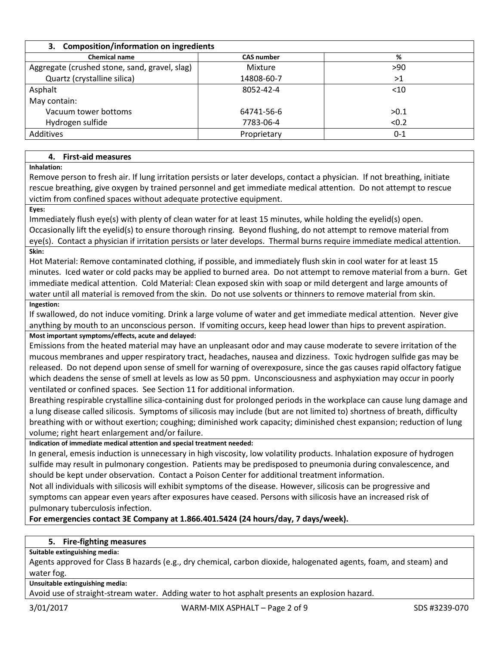| 3. Composition/information on ingredients     |                   |         |  |
|-----------------------------------------------|-------------------|---------|--|
| <b>Chemical name</b>                          | <b>CAS number</b> | %       |  |
| Aggregate (crushed stone, sand, gravel, slag) | Mixture           | >90     |  |
| Quartz (crystalline silica)                   | 14808-60-7        | >1      |  |
| Asphalt                                       | 8052-42-4         | $<$ 10  |  |
| May contain:                                  |                   |         |  |
| Vacuum tower bottoms                          | 64741-56-6        | >0.1    |  |
| Hydrogen sulfide                              | 7783-06-4         | < 0.2   |  |
| Additives                                     | Proprietary       | $0 - 1$ |  |

## **4. First-aid measures**

**Inhalation:**

Remove person to fresh air. If lung irritation persists or later develops, contact a physician. If not breathing, initiate rescue breathing, give oxygen by trained personnel and get immediate medical attention. Do not attempt to rescue victim from confined spaces without adequate protective equipment.

#### **Eyes:**

Immediately flush eye(s) with plenty of clean water for at least 15 minutes, while holding the eyelid(s) open. Occasionally lift the eyelid(s) to ensure thorough rinsing. Beyond flushing, do not attempt to remove material from eye(s). Contact a physician if irritation persists or later develops. Thermal burns require immediate medical attention.

## **Skin:**

Hot Material: Remove contaminated clothing, if possible, and immediately flush skin in cool water for at least 15 minutes. Iced water or cold packs may be applied to burned area. Do not attempt to remove material from a burn. Get immediate medical attention. Cold Material: Clean exposed skin with soap or mild detergent and large amounts of water until all material is removed from the skin. Do not use solvents or thinners to remove material from skin. **Ingestion:**

If swallowed, do not induce vomiting. Drink a large volume of water and get immediate medical attention. Never give anything by mouth to an unconscious person. If vomiting occurs, keep head lower than hips to prevent aspiration.

**Most important symptoms/effects, acute and delayed:**

Emissions from the heated material may have an unpleasant odor and may cause moderate to severe irritation of the mucous membranes and upper respiratory tract, headaches, nausea and dizziness. Toxic hydrogen sulfide gas may be released. Do not depend upon sense of smell for warning of overexposure, since the gas causes rapid olfactory fatigue which deadens the sense of smell at levels as low as 50 ppm. Unconsciousness and asphyxiation may occur in poorly ventilated or confined spaces. See Section 11 for additional information.

Breathing respirable crystalline silica-containing dust for prolonged periods in the workplace can cause lung damage and a lung disease called silicosis. Symptoms of silicosis may include (but are not limited to) shortness of breath, difficulty breathing with or without exertion; coughing; diminished work capacity; diminished chest expansion; reduction of lung volume; right heart enlargement and/or failure.

**Indication of immediate medical attention and special treatment needed:**

In general, emesis induction is unnecessary in high viscosity, low volatility products. Inhalation exposure of hydrogen sulfide may result in pulmonary congestion. Patients may be predisposed to pneumonia during convalescence, and should be kept under observation. Contact a Poison Center for additional treatment information.

Not all individuals with silicosis will exhibit symptoms of the disease. However, silicosis can be progressive and symptoms can appear even years after exposures have ceased. Persons with silicosis have an increased risk of pulmonary tuberculosis infection.

**For emergencies contact 3E Company at 1.866.401.5424 (24 hours/day, 7 days/week).**

## **5. Fire-fighting measures**

## **Suitable extinguishing media:**

Agents approved for Class B hazards (e.g., dry chemical, carbon dioxide, halogenated agents, foam, and steam) and water fog.

**Unsuitable extinguishing media:**

Avoid use of straight-stream water. Adding water to hot asphalt presents an explosion hazard.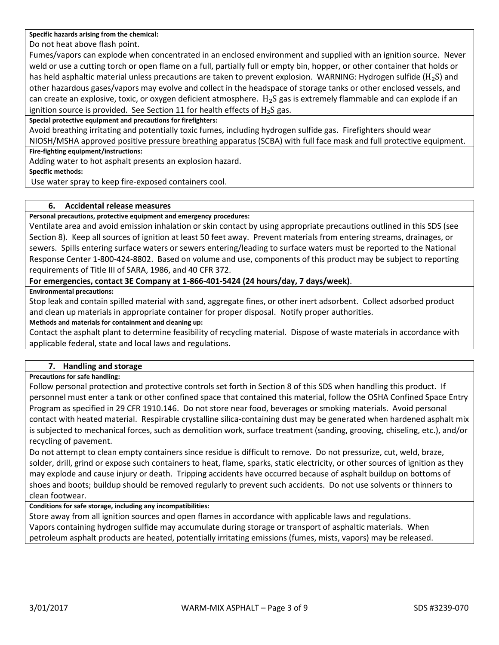**Specific hazards arising from the chemical:**

Do not heat above flash point.

Fumes/vapors can explode when concentrated in an enclosed environment and supplied with an ignition source. Never weld or use a cutting torch or open flame on a full, partially full or empty bin, hopper, or other container that holds or has held asphaltic material unless precautions are taken to prevent explosion. WARNING: Hydrogen sulfide ( $H_2S$ ) and other hazardous gases/vapors may evolve and collect in the headspace of storage tanks or other enclosed vessels, and can create an explosive, toxic, or oxygen deficient atmosphere.  $H_2S$  gas is extremely flammable and can explode if an ignition source is provided. See Section 11 for health effects of  $H_2S$  gas.

**Special protective equipment and precautions for firefighters:**

Avoid breathing irritating and potentially toxic fumes, including hydrogen sulfide gas. Firefighters should wear NIOSH/MSHA approved positive pressure breathing apparatus (SCBA) with full face mask and full protective equipment.

#### **Fire-fighting equipment/instructions:**

Adding water to hot asphalt presents an explosion hazard.

**Specific methods:**

Use water spray to keep fire-exposed containers cool.

## **6. Accidental release measures**

**Personal precautions, protective equipment and emergency procedures:**

Ventilate area and avoid emission inhalation or skin contact by using appropriate precautions outlined in this SDS (see Section 8). Keep all sources of ignition at least 50 feet away. Prevent materials from entering streams, drainages, or sewers. Spills entering surface waters or sewers entering/leading to surface waters must be reported to the National Response Center 1-800-424-8802. Based on volume and use, components of this product may be subject to reporting requirements of Title III of SARA, 1986, and 40 CFR 372.

## **For emergencies, contact 3E Company at 1-866-401-5424 (24 hours/day, 7 days/week)**.

#### **Environmental precautions:**

Stop leak and contain spilled material with sand, aggregate fines, or other inert adsorbent. Collect adsorbed product and clean up materials in appropriate container for proper disposal. Notify proper authorities.

**Methods and materials for containment and cleaning up:**

Contact the asphalt plant to determine feasibility of recycling material. Dispose of waste materials in accordance with applicable federal, state and local laws and regulations.

## **7. Handling and storage**

## **Precautions for safe handling:**

Follow personal protection and protective controls set forth in Section 8 of this SDS when handling this product. If personnel must enter a tank or other confined space that contained this material, follow the OSHA Confined Space Entry Program as specified in 29 CFR 1910.146. Do not store near food, beverages or smoking materials. Avoid personal contact with heated material. Respirable crystalline silica-containing dust may be generated when hardened asphalt mix is subjected to mechanical forces, such as demolition work, surface treatment (sanding, grooving, chiseling, etc.), and/or recycling of pavement.

Do not attempt to clean empty containers since residue is difficult to remove. Do not pressurize, cut, weld, braze, solder, drill, grind or expose such containers to heat, flame, sparks, static electricity, or other sources of ignition as they may explode and cause injury or death. Tripping accidents have occurred because of asphalt buildup on bottoms of shoes and boots; buildup should be removed regularly to prevent such accidents. Do not use solvents or thinners to clean footwear.

## **Conditions for safe storage, including any incompatibilities:**

Store away from all ignition sources and open flames in accordance with applicable laws and regulations. Vapors containing hydrogen sulfide may accumulate during storage or transport of asphaltic materials. When petroleum asphalt products are heated, potentially irritating emissions (fumes, mists, vapors) may be released.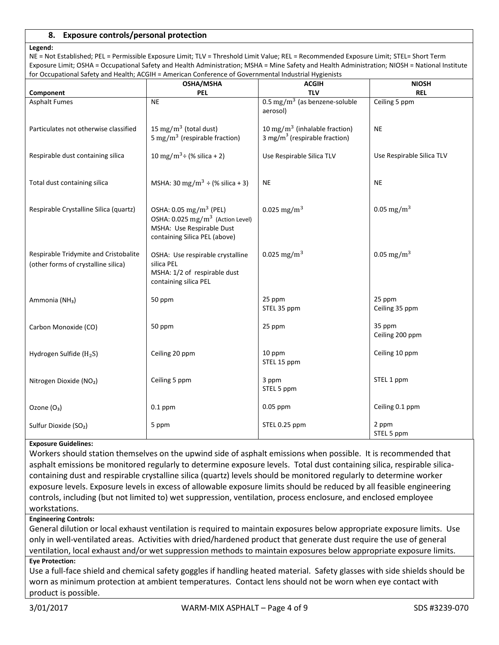## **8. Exposure controls/personal protection**

#### **Legend:**

NE = Not Established; PEL = Permissible Exposure Limit; TLV = Threshold Limit Value; REL = Recommended Exposure Limit; STEL= Short Term Exposure Limit; OSHA = Occupational Safety and Health Administration; MSHA = Mine Safety and Health Administration; NIOSH = National Institute for Occupational Safety and Health: ACGIH = American Conference of Governmental Industrial Hygienists

| ioi Occupational Jalety and Health, ACOIIT – American Conference of Oovernmental industrial hygiemsts | OSHA/MSHA                                                                                                                                        | <b>ACGIH</b>                                                                  | <b>NIOSH</b>              |
|-------------------------------------------------------------------------------------------------------|--------------------------------------------------------------------------------------------------------------------------------------------------|-------------------------------------------------------------------------------|---------------------------|
| Component                                                                                             | <b>PEL</b>                                                                                                                                       | <b>TLV</b>                                                                    | <b>REL</b>                |
| <b>Asphalt Fumes</b>                                                                                  | <b>NE</b>                                                                                                                                        | $0.5 \text{ mg/m}^3$ (as benzene-soluble<br>aerosol)                          | Ceiling 5 ppm             |
| Particulates not otherwise classified                                                                 | 15 mg/m <sup>3</sup> (total dust)<br>5 mg/m <sup>3</sup> (respirable fraction)                                                                   | 10 mg/m $3$ (inhalable fraction)<br>3 mg/m <sup>3</sup> (respirable fraction) | <b>NE</b>                 |
| Respirable dust containing silica                                                                     | 10 mg/m <sup>3</sup> ÷ (% silica + 2)                                                                                                            | Use Respirable Silica TLV                                                     | Use Respirable Silica TLV |
| Total dust containing silica                                                                          | MSHA: 30 mg/m <sup>3</sup> ÷ (% silica + 3)                                                                                                      | <b>NE</b>                                                                     | <b>NE</b>                 |
| Respirable Crystalline Silica (quartz)                                                                | OSHA: 0.05 mg/m <sup>3</sup> (PEL)<br>OSHA: 0.025 mg/m <sup>3</sup> (Action Level)<br>MSHA: Use Respirable Dust<br>containing Silica PEL (above) | 0.025 mg/m <sup>3</sup>                                                       | 0.05 mg/m <sup>3</sup>    |
| Respirable Tridymite and Cristobalite<br>(other forms of crystalline silica)                          | OSHA: Use respirable crystalline<br>silica PEL<br>MSHA: 1/2 of respirable dust<br>containing silica PEL                                          | 0.025 mg/m <sup>3</sup>                                                       | 0.05 mg/m <sup>3</sup>    |
| Ammonia (NH <sub>3</sub> )                                                                            | 50 ppm                                                                                                                                           | 25 ppm<br>STEL 35 ppm                                                         | 25 ppm<br>Ceiling 35 ppm  |
| Carbon Monoxide (CO)                                                                                  | 50 ppm                                                                                                                                           | 25 ppm                                                                        | 35 ppm<br>Ceiling 200 ppm |
| Hydrogen Sulfide (H <sub>2</sub> S)                                                                   | Ceiling 20 ppm                                                                                                                                   | 10 ppm<br>STEL 15 ppm                                                         | Ceiling 10 ppm            |
| Nitrogen Dioxide (NO2)                                                                                | Ceiling 5 ppm                                                                                                                                    | 3 ppm<br>STEL 5 ppm                                                           | STEL 1 ppm                |
| Ozone (O <sub>3</sub> )                                                                               | $0.1$ ppm                                                                                                                                        | $0.05$ ppm                                                                    | Ceiling 0.1 ppm           |
| Sulfur Dioxide (SO <sub>2</sub> )                                                                     | 5 ppm                                                                                                                                            | STEL 0.25 ppm                                                                 | 2 ppm<br>STEL 5 ppm       |

#### **Exposure Guidelines:**

Workers should station themselves on the upwind side of asphalt emissions when possible. It is recommended that asphalt emissions be monitored regularly to determine exposure levels. Total dust containing silica, respirable silicacontaining dust and respirable crystalline silica (quartz) levels should be monitored regularly to determine worker exposure levels. Exposure levels in excess of allowable exposure limits should be reduced by all feasible engineering controls, including (but not limited to) wet suppression, ventilation, process enclosure, and enclosed employee workstations.

#### **Engineering Controls:**

General dilution or local exhaust ventilation is required to maintain exposures below appropriate exposure limits. Use only in well-ventilated areas. Activities with dried/hardened product that generate dust require the use of general ventilation, local exhaust and/or wet suppression methods to maintain exposures below appropriate exposure limits. **Eye Protection:**

## Use a full-face shield and chemical safety goggles if handling heated material. Safety glasses with side shields should be worn as minimum protection at ambient temperatures. Contact lens should not be worn when eye contact with product is possible.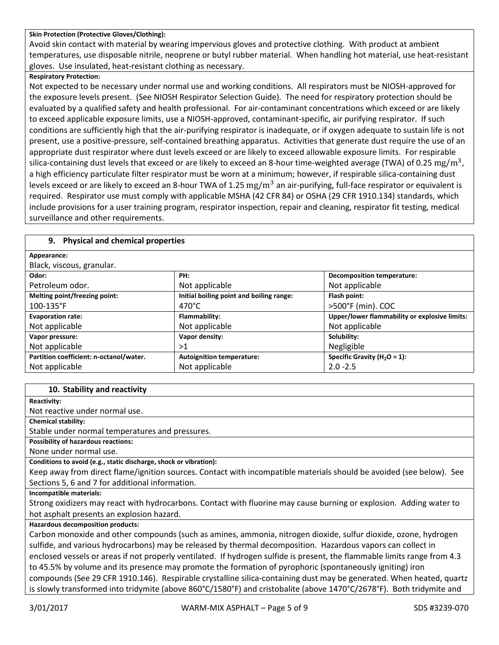#### **Skin Protection (Protective Gloves/Clothing):**

Avoid skin contact with material by wearing impervious gloves and protective clothing. With product at ambient temperatures, use disposable nitrile, neoprene or butyl rubber material. When handling hot material, use heat-resistant gloves. Use insulated, heat-resistant clothing as necessary.

#### **Respiratory Protection:**

Not expected to be necessary under normal use and working conditions. All respirators must be NIOSH-approved for the exposure levels present. (See NIOSH Respirator Selection Guide). The need for respiratory protection should be evaluated by a qualified safety and health professional. For air-contaminant concentrations which exceed or are likely to exceed applicable exposure limits, use a NIOSH-approved, contaminant-specific, air purifying respirator. If such conditions are sufficiently high that the air-purifying respirator is inadequate, or if oxygen adequate to sustain life is not present, use a positive-pressure, self-contained breathing apparatus. Activities that generate dust require the use of an appropriate dust respirator where dust levels exceed or are likely to exceed allowable exposure limits. For respirable silica-containing dust levels that exceed or are likely to exceed an 8-hour time-weighted average (TWA) of 0.25  $\rm mg/m^3$ , a high efficiency particulate filter respirator must be worn at a minimum; however, if respirable silica-containing dust levels exceed or are likely to exceed an 8-hour TWA of 1.25  $\rm mg/m^3$  an air-purifying, full-face respirator or equivalent is required. Respirator use must comply with applicable MSHA (42 CFR 84) or OSHA (29 CFR 1910.134) standards, which include provisions for a user training program, respirator inspection, repair and cleaning, respirator fit testing, medical surveillance and other requirements.

## **9. Physical and chemical properties**

| Appearance:                             |                                          |                                               |
|-----------------------------------------|------------------------------------------|-----------------------------------------------|
| Black, viscous, granular.               |                                          |                                               |
| Odor:                                   | PH:                                      | <b>Decomposition temperature:</b>             |
| Petroleum odor.                         | Not applicable                           | Not applicable                                |
| Melting point/freezing point:           | Initial boiling point and boiling range: | Flash point:                                  |
| $100 - 135$ °F                          | $470^{\circ}$ C                          | >500°F (min). COC                             |
| <b>Evaporation rate:</b>                | Flammability:                            | Upper/lower flammability or explosive limits: |
| Not applicable                          | Not applicable                           | Not applicable                                |
| Vapor pressure:                         | Vapor density:                           | Solubility:                                   |
| Not applicable                          | >1                                       | Negligible                                    |
| Partition coefficient: n-octanol/water. | <b>Autoignition temperature:</b>         | Specific Gravity ( $H_2O = 1$ ):              |
| Not applicable                          | Not applicable                           | $2.0 - 2.5$                                   |

#### **10. Stability and reactivity**

**Reactivity:**

Not reactive under normal use.

**Chemical stability:**

Stable under normal temperatures and pressures.

**Possibility of hazardous reactions:**

None under normal use.

**Conditions to avoid (e.g., static discharge, shock or vibration):**

Keep away from direct flame/ignition sources. Contact with incompatible materials should be avoided (see below). See Sections 5, 6 and 7 for additional information.

**Incompatible materials:**

Strong oxidizers may react with hydrocarbons. Contact with fluorine may cause burning or explosion. Adding water to hot asphalt presents an explosion hazard.

**Hazardous decomposition products:**

Carbon monoxide and other compounds (such as amines, ammonia, nitrogen dioxide, sulfur dioxide, ozone, hydrogen sulfide, and various hydrocarbons) may be released by thermal decomposition. Hazardous vapors can collect in enclosed vessels or areas if not properly ventilated. If hydrogen sulfide is present, the flammable limits range from 4.3 to 45.5% by volume and its presence may promote the formation of pyrophoric (spontaneously igniting) iron compounds (See 29 CFR 1910.146). Respirable crystalline silica-containing dust may be generated. When heated, quartz is slowly transformed into tridymite (above 860°C/1580°F) and cristobalite (above 1470°C/2678°F). Both tridymite and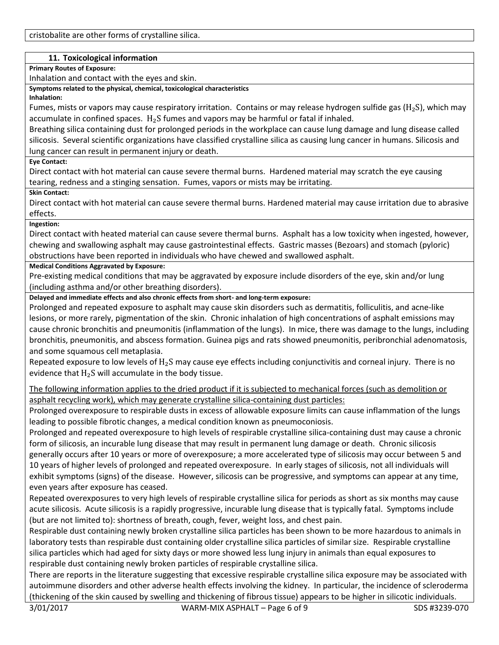## **11. Toxicological information**

**Primary Routes of Exposure:**

Inhalation and contact with the eyes and skin.

**Symptoms related to the physical, chemical, toxicological characteristics**

**Inhalation:** 

Fumes, mists or vapors may cause respiratory irritation. Contains or may release hydrogen sulfide gas ( $H_2S$ ), which may accumulate in confined spaces.  $H_2S$  fumes and vapors may be harmful or fatal if inhaled.

Breathing silica containing dust for prolonged periods in the workplace can cause lung damage and lung disease called silicosis. Several scientific organizations have classified crystalline silica as causing lung cancer in humans. Silicosis and lung cancer can result in permanent injury or death.

**Eye Contact:**

Direct contact with hot material can cause severe thermal burns. Hardened material may scratch the eye causing tearing, redness and a stinging sensation. Fumes, vapors or mists may be irritating.

**Skin Contact:**

Direct contact with hot material can cause severe thermal burns. Hardened material may cause irritation due to abrasive effects.

## **Ingestion:**

Direct contact with heated material can cause severe thermal burns. Asphalt has a low toxicity when ingested, however, chewing and swallowing asphalt may cause gastrointestinal effects. Gastric masses (Bezoars) and stomach (pyloric) obstructions have been reported in individuals who have chewed and swallowed asphalt.

## **Medical Conditions Aggravated by Exposure:**

Pre-existing medical conditions that may be aggravated by exposure include disorders of the eye, skin and/or lung (including asthma and/or other breathing disorders).

**Delayed and immediate effects and also chronic effects from short- and long-term exposure:**

Prolonged and repeated exposure to asphalt may cause skin disorders such as dermatitis, folliculitis, and acne-like lesions, or more rarely, pigmentation of the skin. Chronic inhalation of high concentrations of asphalt emissions may cause chronic bronchitis and pneumonitis (inflammation of the lungs). In mice, there was damage to the lungs, including bronchitis, pneumonitis, and abscess formation. Guinea pigs and rats showed pneumonitis, peribronchial adenomatosis, and some squamous cell metaplasia.

Repeated exposure to low levels of  $H_2S$  may cause eye effects including conjunctivitis and corneal injury. There is no evidence that  $H_2S$  will accumulate in the body tissue.

The following information applies to the dried product if it is subjected to mechanical forces (such as demolition or asphalt recycling work), which may generate crystalline silica-containing dust particles:

Prolonged overexposure to respirable dusts in excess of allowable exposure limits can cause inflammation of the lungs leading to possible fibrotic changes, a medical condition known as pneumoconiosis.

Prolonged and repeated overexposure to high levels of respirable crystalline silica-containing dust may cause a chronic form of silicosis, an incurable lung disease that may result in permanent lung damage or death. Chronic silicosis generally occurs after 10 years or more of overexposure; a more accelerated type of silicosis may occur between 5 and 10 years of higher levels of prolonged and repeated overexposure. In early stages of silicosis, not all individuals will exhibit symptoms (signs) of the disease. However, silicosis can be progressive, and symptoms can appear at any time, even years after exposure has ceased.

Repeated overexposures to very high levels of respirable crystalline silica for periods as short as six months may cause acute silicosis. Acute silicosis is a rapidly progressive, incurable lung disease that is typically fatal. Symptoms include (but are not limited to): shortness of breath, cough, fever, weight loss, and chest pain.

Respirable dust containing newly broken crystalline silica particles has been shown to be more hazardous to animals in laboratory tests than respirable dust containing older crystalline silica particles of similar size. Respirable crystalline silica particles which had aged for sixty days or more showed less lung injury in animals than equal exposures to respirable dust containing newly broken particles of respirable crystalline silica.

There are reports in the literature suggesting that excessive respirable crystalline silica exposure may be associated with autoimmune disorders and other adverse health effects involving the kidney. In particular, the incidence of scleroderma (thickening of the skin caused by swelling and thickening of fibrous tissue) appears to be higher in silicotic individuals.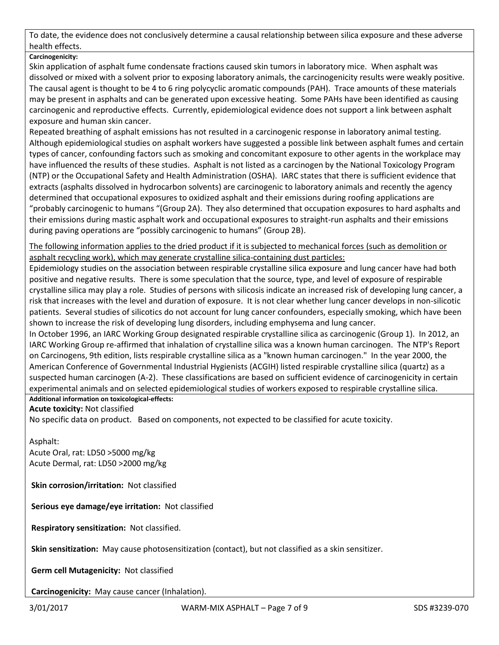To date, the evidence does not conclusively determine a causal relationship between silica exposure and these adverse health effects.

## **Carcinogenicity:**

Skin application of asphalt fume condensate fractions caused skin tumors in laboratory mice. When asphalt was dissolved or mixed with a solvent prior to exposing laboratory animals, the carcinogenicity results were weakly positive. The causal agent is thought to be 4 to 6 ring polycyclic aromatic compounds (PAH). Trace amounts of these materials may be present in asphalts and can be generated upon excessive heating. Some PAHs have been identified as causing carcinogenic and reproductive effects. Currently, epidemiological evidence does not support a link between asphalt exposure and human skin cancer.

Repeated breathing of asphalt emissions has not resulted in a carcinogenic response in laboratory animal testing. Although epidemiological studies on asphalt workers have suggested a possible link between asphalt fumes and certain types of cancer, confounding factors such as smoking and concomitant exposure to other agents in the workplace may have influenced the results of these studies. Asphalt is not listed as a carcinogen by the National Toxicology Program (NTP) or the Occupational Safety and Health Administration (OSHA). IARC states that there is sufficient evidence that extracts (asphalts dissolved in hydrocarbon solvents) are carcinogenic to laboratory animals and recently the agency determined that occupational exposures to oxidized asphalt and their emissions during roofing applications are "probably carcinogenic to humans "(Group 2A). They also determined that occupation exposures to hard asphalts and their emissions during mastic asphalt work and occupational exposures to straight-run asphalts and their emissions during paving operations are "possibly carcinogenic to humans" (Group 2B).

The following information applies to the dried product if it is subjected to mechanical forces (such as demolition or asphalt recycling work), which may generate crystalline silica-containing dust particles:

Epidemiology studies on the association between respirable crystalline silica exposure and lung cancer have had both positive and negative results. There is some speculation that the source, type, and level of exposure of respirable crystalline silica may play a role. Studies of persons with silicosis indicate an increased risk of developing lung cancer, a risk that increases with the level and duration of exposure. It is not clear whether lung cancer develops in non-silicotic patients. Several studies of silicotics do not account for lung cancer confounders, especially smoking, which have been shown to increase the risk of developing lung disorders, including emphysema and lung cancer.

In October 1996, an IARC Working Group designated respirable crystalline silica as carcinogenic (Group 1). In 2012, an IARC Working Group re-affirmed that inhalation of crystalline silica was a known human carcinogen. The NTP's Report on Carcinogens, 9th edition, lists respirable crystalline silica as a "known human carcinogen." In the year 2000, the American Conference of Governmental Industrial Hygienists (ACGIH) listed respirable crystalline silica (quartz) as a suspected human carcinogen (A-2). These classifications are based on sufficient evidence of carcinogenicity in certain experimental animals and on selected epidemiological studies of workers exposed to respirable crystalline silica.

**Additional information on toxicological-effects:**

## **Acute toxicity:** Not classified

No specific data on product. Based on components, not expected to be classified for acute toxicity.

Asphalt:

Acute Oral, rat: LD50 >5000 mg/kg Acute Dermal, rat: LD50 >2000 mg/kg

**Skin corrosion/irritation:** Not classified

**Serious eye damage/eye irritation:** Not classified

**Respiratory sensitization:** Not classified.

**Skin sensitization:** May cause photosensitization (contact), but not classified as a skin sensitizer.

**Germ cell Mutagenicity:** Not classified

**Carcinogenicity:** May cause cancer (Inhalation).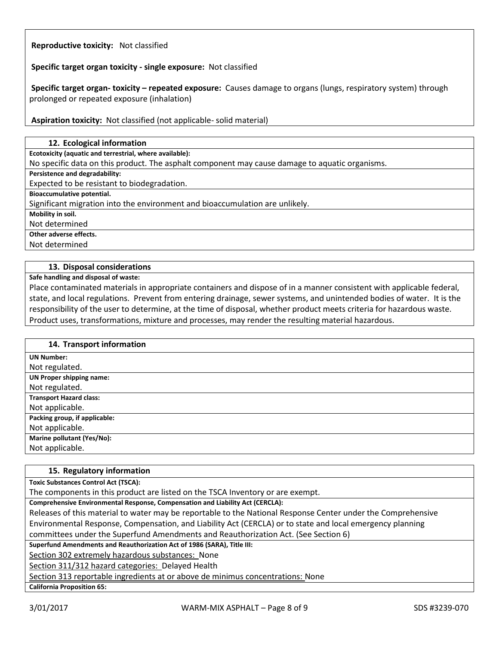## **Reproductive toxicity:** Not classified

**Specific target organ toxicity - single exposure:** Not classified

**Specific target organ- toxicity – repeated exposure:** Causes damage to organs (lungs, respiratory system) through prolonged or repeated exposure (inhalation)

**Aspiration toxicity:** Not classified (not applicable- solid material)

#### **12. Ecological information**

**Ecotoxicity (aquatic and terrestrial, where available):**

No specific data on this product. The asphalt component may cause damage to aquatic organisms.

**Persistence and degradability:**

Expected to be resistant to biodegradation.

**Bioaccumulative potential.**

Significant migration into the environment and bioaccumulation are unlikely.

**Mobility in soil.**

Not determined

**Other adverse effects.**

Not determined

#### **13. Disposal considerations**

**Safe handling and disposal of waste:**

Place contaminated materials in appropriate containers and dispose of in a manner consistent with applicable federal, state, and local regulations. Prevent from entering drainage, sewer systems, and unintended bodies of water. It is the responsibility of the user to determine, at the time of disposal, whether product meets criteria for hazardous waste. Product uses, transformations, mixture and processes, may render the resulting material hazardous.

| 14. Transport information       |
|---------------------------------|
| <b>UN Number:</b>               |
| Not regulated.                  |
| <b>UN Proper shipping name:</b> |
| Not regulated.                  |
| <b>Transport Hazard class:</b>  |
| Not applicable.                 |
| Packing group, if applicable:   |
| Not applicable.                 |
| Marine pollutant (Yes/No):      |
| Not applicable.                 |

## **15. Regulatory information Toxic Substances Control Act (TSCA):** The components in this product are listed on the TSCA Inventory or are exempt. **Comprehensive Environmental Response, Compensation and Liability Act (CERCLA):** Releases of this material to water may be reportable to the National Response Center under the Comprehensive Environmental Response, Compensation, and Liability Act (CERCLA) or to state and local emergency planning committees under the Superfund Amendments and Reauthorization Act. (See Section 6) **Superfund Amendments and Reauthorization Act of 1986 (SARA), Title III:** Section 302 extremely hazardous substances: None Section 311/312 hazard categories: Delayed Health Section 313 reportable ingredients at or above de minimus concentrations: None **California Proposition 65:**